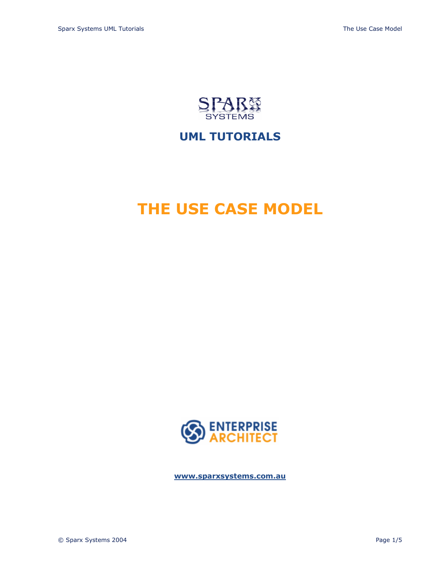

## **UML TUTORIALS**

# **THE USE CASE MODEL**



**<www.sparxsystems.com.au>**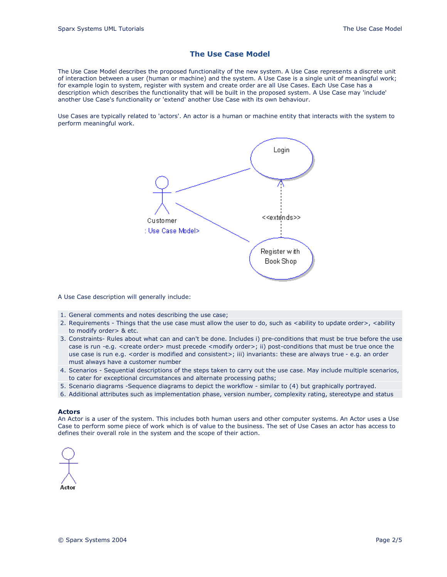### **The Use Case Model**

The Use Case Model describes the proposed functionality of the new system. A Use Case represents a discrete unit of interaction between a user (human or machine) and the system. A Use Case is a single unit of meaningful work; for example login to system, register with system and create order are all Use Cases. Each Use Case has a description which describes the functionality that will be built in the proposed system. A Use Case may 'include' another Use Case's functionality or 'extend' another Use Case with its own behaviour.

Use Cases are typically related to 'actors'. An actor is a human or machine entity that interacts with the system to perform meaningful work.



A Use Case description will generally include:

- 1. General comments and notes describing the use case;
- 2. Requirements Things that the use case must allow the user to do, such as <ability to update order>, <ability to modify order> & etc.
- 3. Constraints- Rules about what can and can't be done. Includes i) pre-conditions that must be true before the use case is run -e.g. <create order> must precede <modify order>; ii) post-conditions that must be true once the use case is run e.g. <order is modified and consistent>; iii) invariants: these are always true - e.g. an order must always have a customer number
- 4. Scenarios Sequential descriptions of the steps taken to carry out the use case. May include multiple scenarios, to cater for exceptional circumstances and alternate processing paths;
- 5. Scenario diagrams -Sequence diagrams to depict the workflow similar to (4) but graphically portrayed.
- 6. Additional attributes such as implementation phase, version number, complexity rating, stereotype and status

#### **Actors**

An Actor is a user of the system. This includes both human users and other computer systems. An Actor uses a Use Case to perform some piece of work which is of value to the business. The set of Use Cases an actor has access to defines their overall role in the system and the scope of their action.

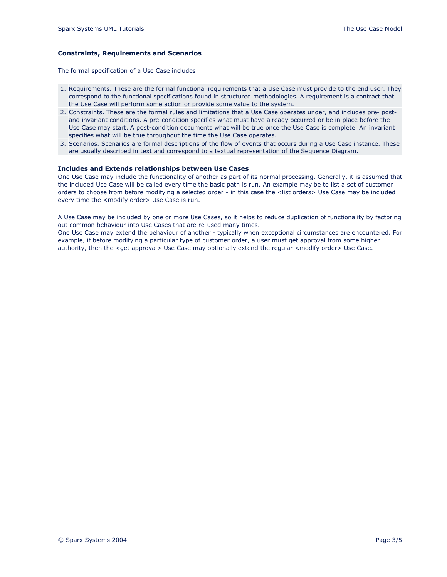#### **Constraints, Requirements and Scenarios**

The formal specification of a Use Case includes:

- 1. Requirements. These are the formal functional requirements that a Use Case must provide to the end user. They correspond to the functional specifications found in structured methodologies. A requirement is a contract that the Use Case will perform some action or provide some value to the system.
- 2. Constraints. These are the formal rules and limitations that a Use Case operates under, and includes pre- postand invariant conditions. A pre-condition specifies what must have already occurred or be in place before the Use Case may start. A post-condition documents what will be true once the Use Case is complete. An invariant specifies what will be true throughout the time the Use Case operates.
- 3. Scenarios. Scenarios are formal descriptions of the flow of events that occurs during a Use Case instance. These are usually described in text and correspond to a textual representation of the Sequence Diagram.

#### **Includes and Extends relationships between Use Cases**

One Use Case may include the functionality of another as part of its normal processing. Generally, it is assumed that the included Use Case will be called every time the basic path is run. An example may be to list a set of customer orders to choose from before modifying a selected order - in this case the <list orders> Use Case may be included every time the <modify order> Use Case is run.

A Use Case may be included by one or more Use Cases, so it helps to reduce duplication of functionality by factoring out common behaviour into Use Cases that are re-used many times.

One Use Case may extend the behaviour of another - typically when exceptional circumstances are encountered. For example, if before modifying a particular type of customer order, a user must get approval from some higher authority, then the <get approval> Use Case may optionally extend the regular <modify order> Use Case.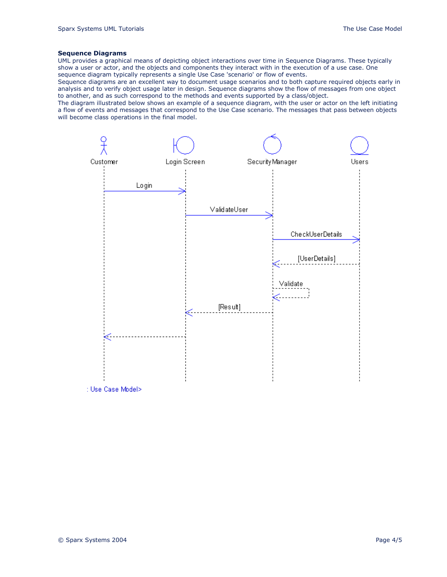#### **Sequence Diagrams**

UML provides a graphical means of depicting object interactions over time in Sequence Diagrams. These typically show a user or actor, and the objects and components they interact with in the execution of a use case. One sequence diagram typically represents a single Use Case 'scenario' or flow of events.

Sequence diagrams are an excellent way to document usage scenarios and to both capture required objects early in analysis and to verify object usage later in design. Sequence diagrams show the flow of messages from one object to another, and as such correspond to the methods and events supported by a class/object.

The diagram illustrated below shows an example of a sequence diagram, with the user or actor on the left initiating a flow of events and messages that correspond to the Use Case scenario. The messages that pass between objects will become class operations in the final model.